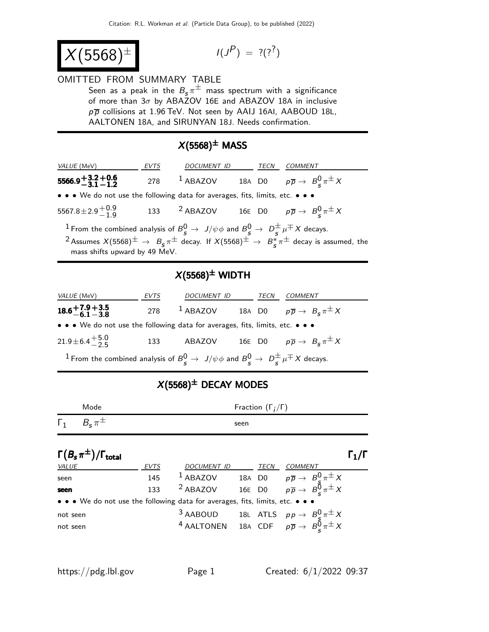$$
X(5568)^{\pm}
$$

$$
I(J^P) = ?(?^?)
$$

#### OMITTED FROM SUMMARY TABLE

Seen as a peak in the  $B_{\sf s}\pi^\pm$  mass spectrum with a significance of more than  $3\sigma$  by ABAZOV 16E and ABAZOV 18A in inclusive  $p\overline{p}$  collisions at 1.96 TeV. Not seen by AAIJ 16AI, AABOUD 18L, AALTONEN 18A, and SIRUNYAN 18J. Needs confirmation.

### $X(5568)^{\pm}$  MASS

| VALUE (MeV)                                                                                                                                                                                                                                                                                     | EVTS | DOCUMENT ID |  | <b>TECN</b> | <i>COMMENT</i>                                                               |
|-------------------------------------------------------------------------------------------------------------------------------------------------------------------------------------------------------------------------------------------------------------------------------------------------|------|-------------|--|-------------|------------------------------------------------------------------------------|
| $5566.9 + 3.2 + 0.6$<br>$-3.1 - 1.2$                                                                                                                                                                                                                                                            | 278  | $1$ ABAZOV  |  |             | 18A D0 $p\overline{p} \rightarrow B_c^0 \pi^{\pm} X$                         |
| • • • We do not use the following data for averages, fits, limits, etc. • • •                                                                                                                                                                                                                   |      |             |  |             |                                                                              |
| 5567.8 ± 2.9 $^{+0.9}_{-1.9}$                                                                                                                                                                                                                                                                   |      |             |  |             | 133 <sup>2</sup> ABAZOV 16E D0 $p\overline{p} \rightarrow B_c^0 \pi^{\pm} X$ |
| <sup>1</sup> From the combined analysis of $B^0_s \to J/\psi \phi$ and $B^0_s \to D_s^{\pm} \mu^{\mp} X$ decays.<br><sup>2</sup> Assumes $X(5568)^{\pm} \rightarrow B_s \pi^{\pm}$ decay. If $X(5568)^{\pm} \rightarrow B_s^* \pi^{\pm}$ decay is assumed, the<br>mass shifts upward by 49 MeV. |      |             |  |             |                                                                              |

## $X(5568)^{\pm}$  WIDTH

| <i>VALUE</i> (MeV)                                                                                               | <i>EVTS</i> | <b>DOCUMENT ID</b> |  | TECN | <b>COMMENT</b>                                           |
|------------------------------------------------------------------------------------------------------------------|-------------|--------------------|--|------|----------------------------------------------------------|
| $18.6 + 7.9 + 3.5$<br>$-6.1 - 3.8$                                                                               | 278         | $1$ ABAZOV         |  |      | 18A D0 $p\overline{p} \rightarrow B_{\rm s} \pi^{\pm} X$ |
| • • • We do not use the following data for averages, fits, limits, etc. • • •                                    |             |                    |  |      |                                                          |
| $21.9 \pm 6.4 \pm 5.0$                                                                                           | 133         | ABAZOV             |  |      | 16E D0 $p\overline{p} \rightarrow B_s \pi^{\pm} X$       |
| <sup>1</sup> From the combined analysis of $B^0_s \to J/\psi \phi$ and $B^0_s \to D^{\pm}_s \mu^{\mp} X$ decays. |             |                    |  |      |                                                          |

# $X(5568)^{\pm}$  DECAY MODES

| Mode                                      |             |                     |        | Fraction $(\Gamma_i/\Gamma)$ |                                                                                                                             |                                     |
|-------------------------------------------|-------------|---------------------|--------|------------------------------|-----------------------------------------------------------------------------------------------------------------------------|-------------------------------------|
| $B_{\rm s}\pi^{\pm}$<br>$\Gamma_1$        |             |                     | seen   |                              |                                                                                                                             |                                     |
| $\Gamma(B_s\pi^{\pm})/\Gamma_{\rm total}$ |             |                     |        |                              |                                                                                                                             | $\mathsf{\Gamma}_1/\mathsf{\Gamma}$ |
| <b>VALUE</b>                              | <b>EVTS</b> | <b>DOCUMENT ID</b>  |        | <b>TECN</b>                  | <b>COMMENT</b>                                                                                                              |                                     |
| seen                                      | 145         | $1$ ABAZOV          | 18A D0 |                              |                                                                                                                             |                                     |
| seen                                      | 133         | <sup>2</sup> ABAZOV |        | 16E D0                       | $\rho\overline{\rho}\rightarrow\ {B^0_S\pi^\pm X\over \rho\overline{\rho}}\rightarrow\ {B^0_S\pi^\pm X\over \rho\pi^\pm X}$ |                                     |

| • • • We do not use the following data for averages, fits, limits, etc. • • • |  |                                                                                                       |
|-------------------------------------------------------------------------------|--|-------------------------------------------------------------------------------------------------------|
| not seen                                                                      |  | 3 AABOUD 18L ATLS $pp \rightarrow B_c^0 \pi^{\pm} X$                                                  |
| not seen                                                                      |  | <sup>4</sup> AALTONEN 18A CDF $p\overline{p} \rightarrow B^{\overline{0}}_{\overline{p}} \pi^{\pm} X$ |